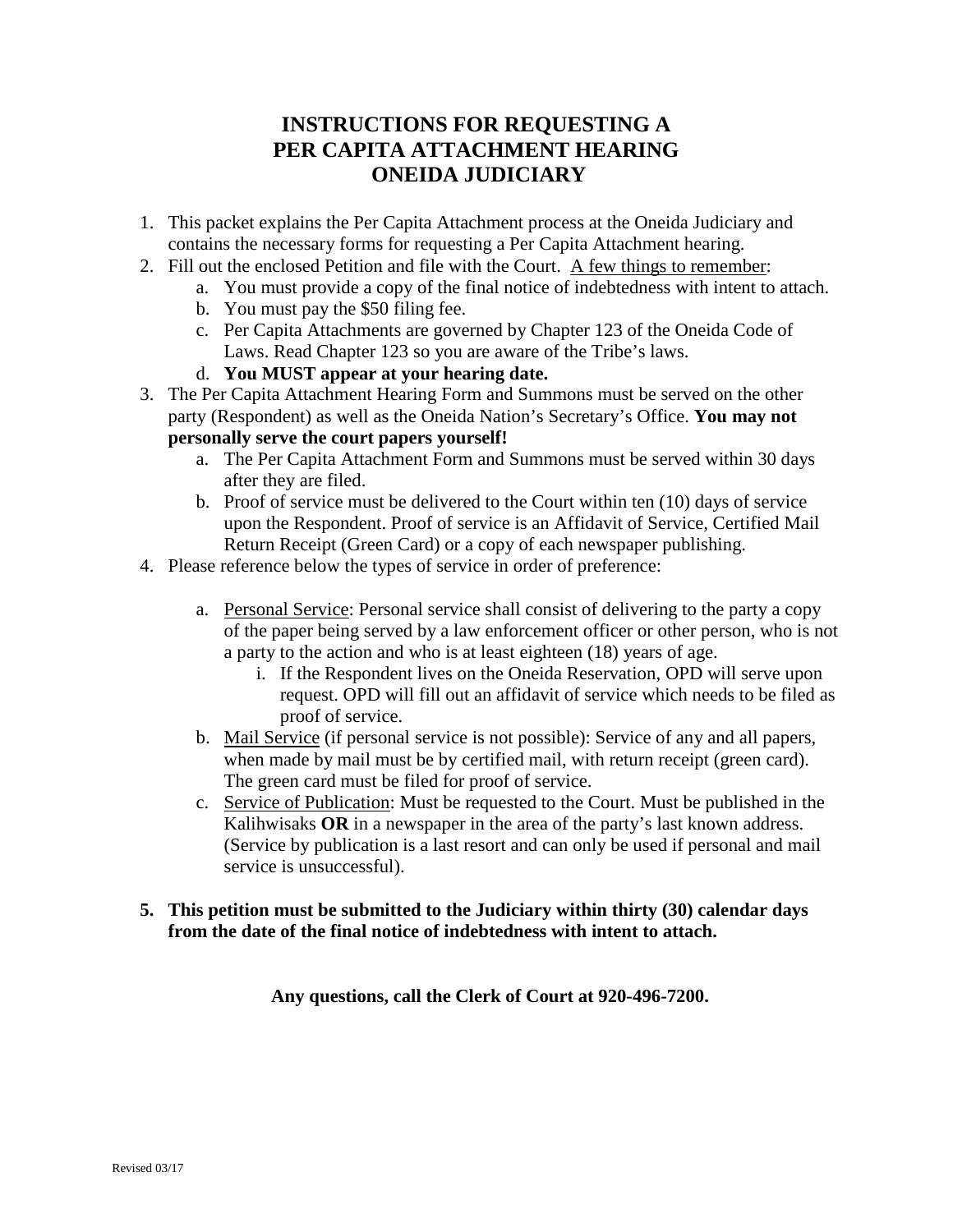## **INSTRUCTIONS FOR REQUESTING A PER CAPITA ATTACHMENT HEARING ONEIDA JUDICIARY**

- 1. This packet explains the Per Capita Attachment process at the Oneida Judiciary and contains the necessary forms for requesting a Per Capita Attachment hearing.
- 2. Fill out the enclosed Petition and file with the Court. A few things to remember:
	- a. You must provide a copy of the final notice of indebtedness with intent to attach.
	- b. You must pay the \$50 filing fee.
	- c. Per Capita Attachments are governed by Chapter 123 of the Oneida Code of Laws. Read Chapter 123 so you are aware of the Tribe's laws.
	- d. **You MUST appear at your hearing date.**
- 3. The Per Capita Attachment Hearing Form and Summons must be served on the other party (Respondent) as well as the Oneida Nation's Secretary's Office. **You may not personally serve the court papers yourself!**
	- a. The Per Capita Attachment Form and Summons must be served within 30 days after they are filed.
	- b. Proof of service must be delivered to the Court within ten (10) days of service upon the Respondent. Proof of service is an Affidavit of Service, Certified Mail Return Receipt (Green Card) or a copy of each newspaper publishing.
- 4. Please reference below the types of service in order of preference:
	- a. Personal Service: Personal service shall consist of delivering to the party a copy of the paper being served by a law enforcement officer or other person, who is not a party to the action and who is at least eighteen (18) years of age.
		- i. If the Respondent lives on the Oneida Reservation, OPD will serve upon request. OPD will fill out an affidavit of service which needs to be filed as proof of service.
	- b. Mail Service (if personal service is not possible): Service of any and all papers, when made by mail must be by certified mail, with return receipt (green card). The green card must be filed for proof of service.
	- c. Service of Publication: Must be requested to the Court. Must be published in the Kalihwisaks **OR** in a newspaper in the area of the party's last known address. (Service by publication is a last resort and can only be used if personal and mail service is unsuccessful).

#### **5. This petition must be submitted to the Judiciary within thirty (30) calendar days from the date of the final notice of indebtedness with intent to attach.**

**Any questions, call the Clerk of Court at 920-496-7200.**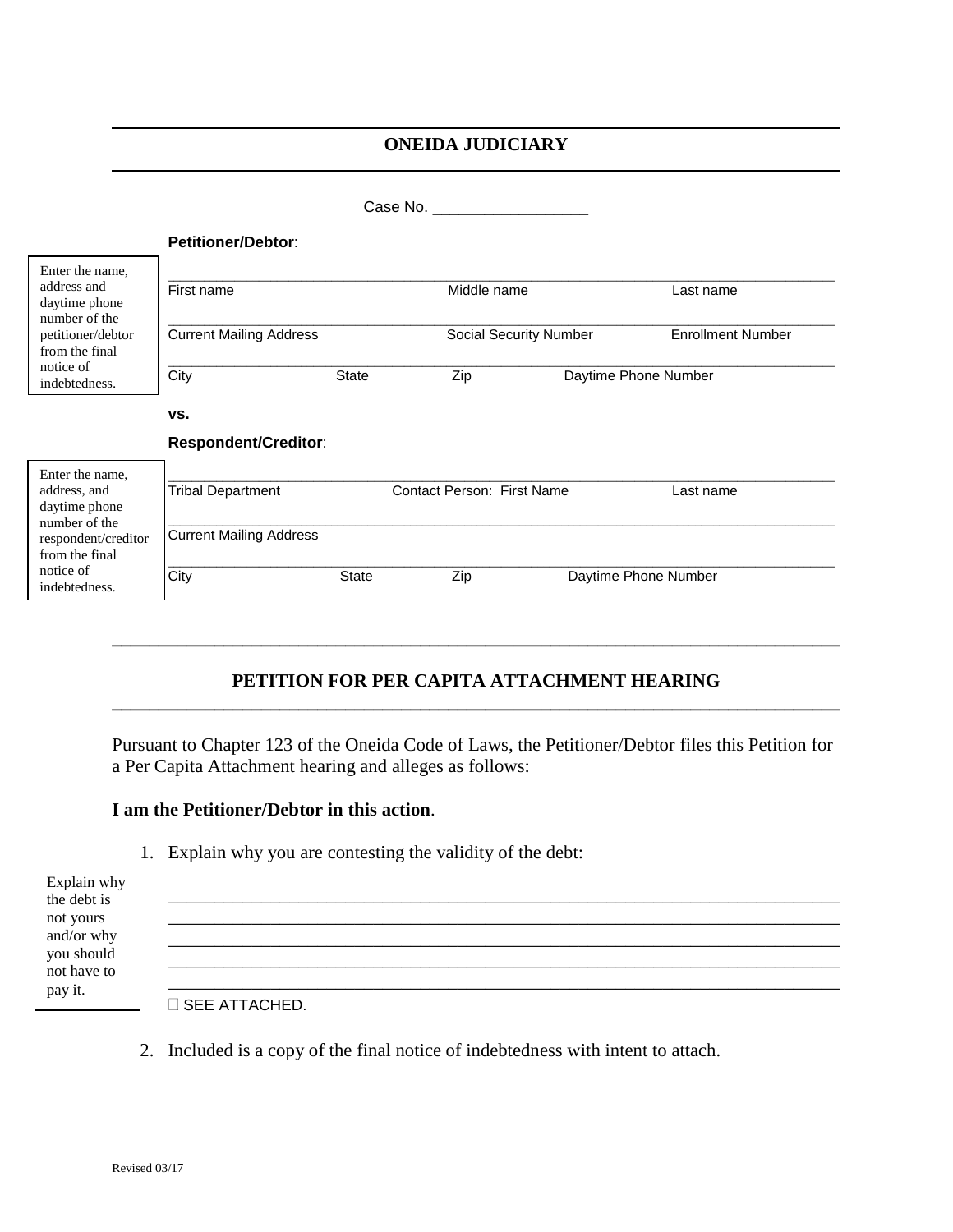### **ONEIDA JUDICIARY**

|                                                                                                                                          |                                |              | Case No.                          |             |                          |           |
|------------------------------------------------------------------------------------------------------------------------------------------|--------------------------------|--------------|-----------------------------------|-------------|--------------------------|-----------|
|                                                                                                                                          | <b>Petitioner/Debtor:</b>      |              |                                   |             |                          |           |
| Enter the name,<br>address and<br>daytime phone<br>number of the                                                                         | First name                     |              |                                   | Middle name |                          | Last name |
| petitioner/debtor<br>from the final<br>notice of<br>indebtedness.                                                                        | <b>Current Mailing Address</b> |              | Social Security Number            |             | <b>Enrollment Number</b> |           |
|                                                                                                                                          | City                           | <b>State</b> | Zip                               |             | Daytime Phone Number     |           |
|                                                                                                                                          | VS.                            |              |                                   |             |                          |           |
|                                                                                                                                          | <b>Respondent/Creditor:</b>    |              |                                   |             |                          |           |
| Enter the name,<br>address, and<br>daytime phone<br>number of the<br>respondent/creditor<br>from the final<br>notice of<br>indebtedness. | <b>Tribal Department</b>       |              | <b>Contact Person: First Name</b> |             |                          | Last name |
|                                                                                                                                          | <b>Current Mailing Address</b> |              |                                   |             |                          |           |
|                                                                                                                                          | City                           | State        | Zip                               |             | Daytime Phone Number     |           |
|                                                                                                                                          |                                |              |                                   |             |                          |           |

### **PETITION FOR PER CAPITA ATTACHMENT HEARING \_\_\_\_\_\_\_\_\_\_\_\_\_\_\_\_\_\_\_\_\_\_\_\_\_\_\_\_\_\_\_\_\_\_\_\_\_\_\_\_\_\_\_\_\_\_\_\_\_\_\_\_\_\_\_\_\_\_\_\_\_\_\_\_\_\_\_\_\_\_\_\_\_\_\_\_\_\_**

**\_\_\_\_\_\_\_\_\_\_\_\_\_\_\_\_\_\_\_\_\_\_\_\_\_\_\_\_\_\_\_\_\_\_\_\_\_\_\_\_\_\_\_\_\_\_\_\_\_\_\_\_\_\_\_\_\_\_\_\_\_\_\_\_\_\_\_\_\_\_\_\_\_\_\_\_\_\_**

Pursuant to Chapter 123 of the Oneida Code of Laws, the Petitioner/Debtor files this Petition for a Per Capita Attachment hearing and alleges as follows:

#### **I am the Petitioner/Debtor in this action**.

|                            | 1. Explain why you are contesting the validity of the debt: |
|----------------------------|-------------------------------------------------------------|
| Explain why<br>the debt is |                                                             |
| not yours<br>and/or why    |                                                             |
| you should<br>not have to  |                                                             |
| pay it.                    | <b>SEE ATTACHED.</b>                                        |

2. Included is a copy of the final notice of indebtedness with intent to attach.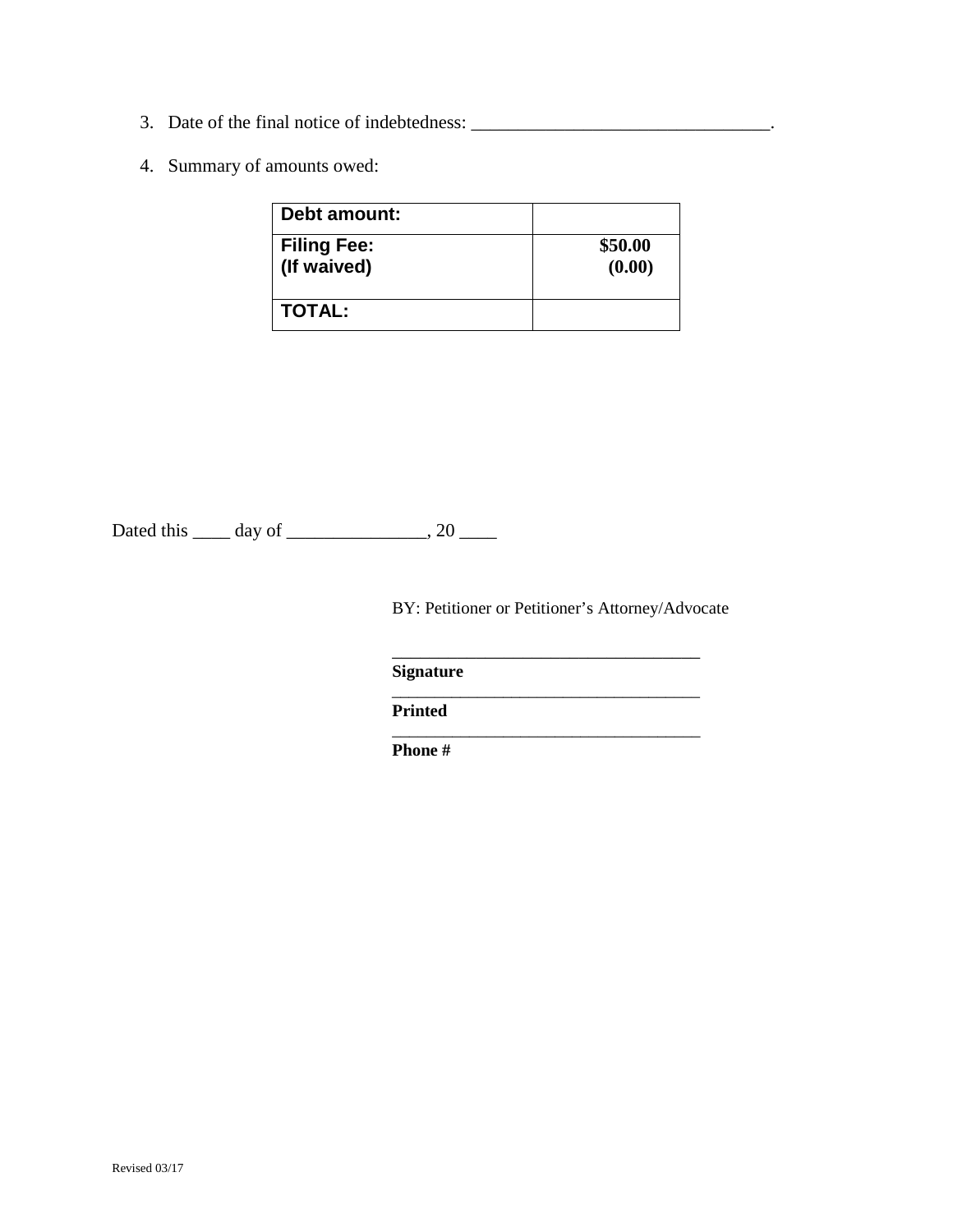- 3. Date of the final notice of indebtedness: \_\_\_\_\_\_\_\_\_\_\_\_\_\_\_\_\_\_\_\_\_\_\_\_\_\_\_\_\_\_\_\_.
- 4. Summary of amounts owed:

| Debt amount:       |         |
|--------------------|---------|
| <b>Filing Fee:</b> | \$50.00 |
| (If waived)        | (0.00)  |
| <b>TOTAL:</b>      |         |

Dated this \_\_\_\_\_ day of \_\_\_\_\_\_\_\_\_\_\_\_\_\_\_, 20 \_\_\_\_\_

BY: Petitioner or Petitioner's Attorney/Advocate

\_\_\_\_\_\_\_\_\_\_\_\_\_\_\_\_\_\_\_\_\_\_\_\_\_\_\_\_\_\_\_\_\_\_\_\_

\_\_\_\_\_\_\_\_\_\_\_\_\_\_\_\_\_\_\_\_\_\_\_\_\_\_\_\_\_\_\_\_\_

\_\_\_\_\_\_\_\_\_\_\_\_\_\_\_\_\_\_\_\_\_\_\_\_\_\_\_\_\_\_\_\_\_\_\_\_

**Signature**

**Printed**

**Phone #**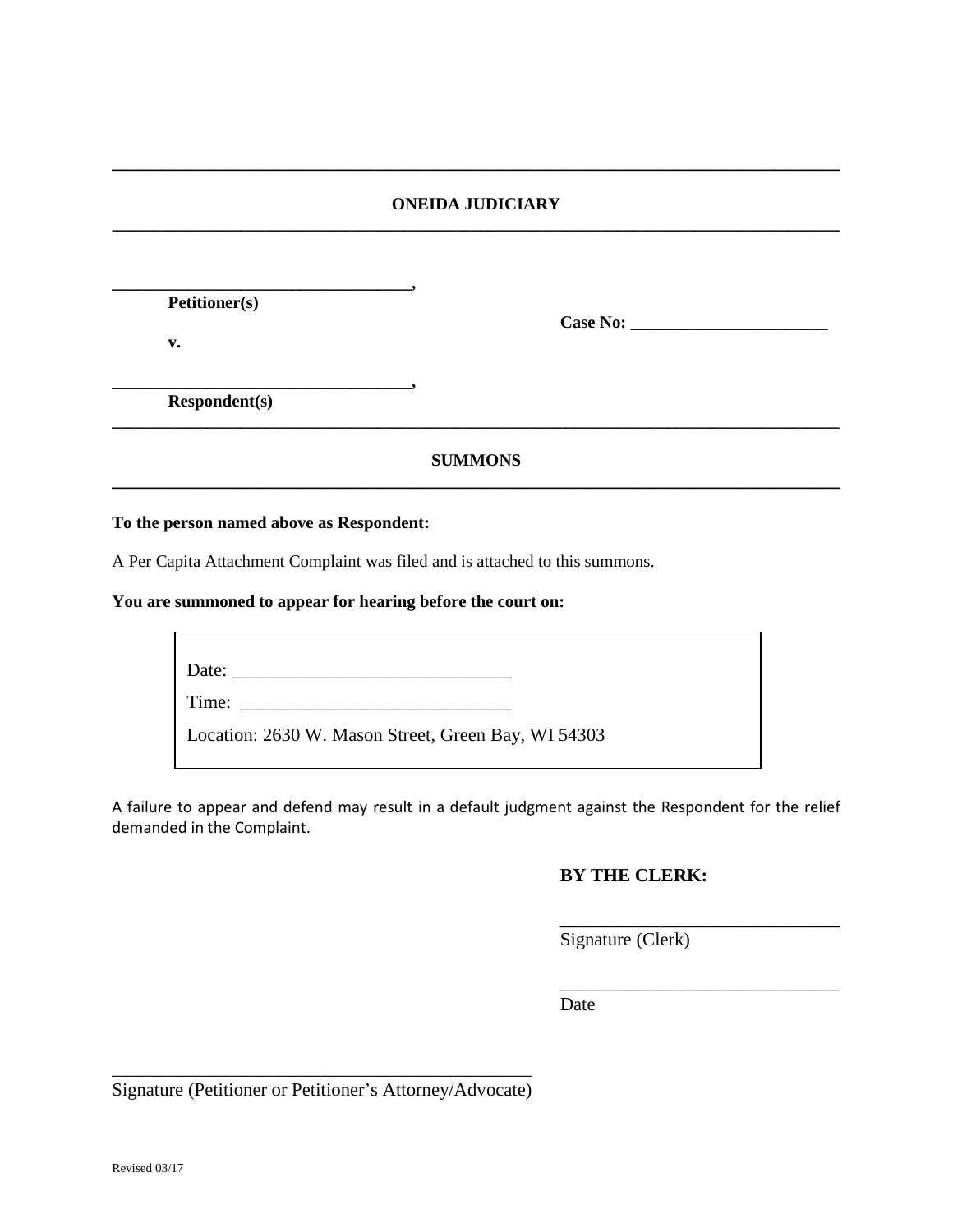#### **ONEIDA JUDICIARY \_\_\_\_\_\_\_\_\_\_\_\_\_\_\_\_\_\_\_\_\_\_\_\_\_\_\_\_\_\_\_\_\_\_\_\_\_\_\_\_\_\_\_\_\_\_\_\_\_\_\_\_\_\_\_\_\_\_\_\_\_\_\_\_\_\_\_\_\_\_\_\_\_\_\_\_\_\_\_\_\_\_\_\_\_**

**\_\_\_\_\_\_\_\_\_\_\_\_\_\_\_\_\_\_\_\_\_\_\_\_\_\_\_\_\_\_\_\_\_\_\_\_\_\_\_\_\_\_\_\_\_\_\_\_\_\_\_\_\_\_\_\_\_\_\_\_\_\_\_\_\_\_\_\_\_\_\_\_\_\_\_\_\_\_**

| <b>Petitioner(s)</b> | Case No:       |  |
|----------------------|----------------|--|
| v.                   |                |  |
| <b>Respondent(s)</b> |                |  |
|                      | <b>SUMMONS</b> |  |
|                      |                |  |

**To the person named above as Respondent:**

A Per Capita Attachment Complaint was filed and is attached to this summons.

**You are summoned to appear for hearing before the court on:**

| Date:                                               |  |
|-----------------------------------------------------|--|
| Time:                                               |  |
| Location: 2630 W. Mason Street, Green Bay, WI 54303 |  |
|                                                     |  |

A failure to appear and defend may result in a default judgment against the Respondent for the relief demanded in the Complaint.

#### **BY THE CLERK:**

**\_\_\_\_\_\_\_\_\_\_\_\_\_\_\_\_\_\_\_\_\_\_\_\_\_\_\_\_\_\_**

\_\_\_\_\_\_\_\_\_\_\_\_\_\_\_\_\_\_\_\_\_\_\_\_\_\_\_\_\_\_

Signature (Clerk)

Date

\_\_\_\_\_\_\_\_\_\_\_\_\_\_\_\_\_\_\_\_\_\_\_\_\_\_\_\_\_\_\_\_\_\_\_\_\_\_\_\_\_\_\_\_\_ Signature (Petitioner or Petitioner's Attorney/Advocate)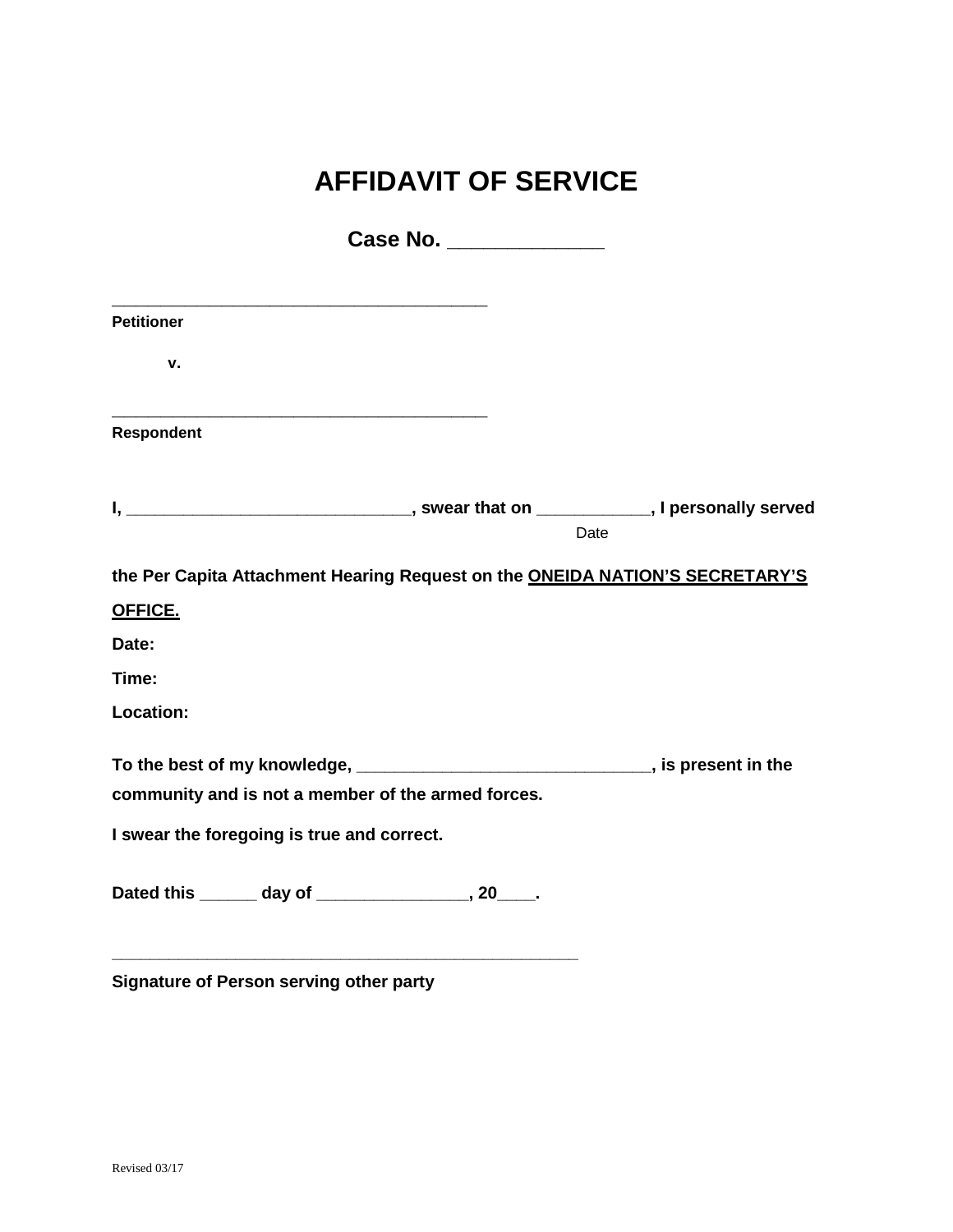# **AFFIDAVIT OF SERVICE**

|                                                                                  | Case No. ______________ |      |
|----------------------------------------------------------------------------------|-------------------------|------|
|                                                                                  |                         |      |
| <b>Petitioner</b>                                                                |                         |      |
| v.                                                                               |                         |      |
| Respondent                                                                       |                         |      |
|                                                                                  |                         |      |
|                                                                                  |                         | Date |
| the Per Capita Attachment Hearing Request on the ONEIDA NATION'S SECRETARY'S     |                         |      |
| OFFICE.                                                                          |                         |      |
| Date:                                                                            |                         |      |
| Time:                                                                            |                         |      |
| Location:                                                                        |                         |      |
| To the best of my knowledge, ________________________________, is present in the |                         |      |
| community and is not a member of the armed forces.                               |                         |      |
| I swear the foregoing is true and correct.                                       |                         |      |
| Dated this ______ day of _______________, 20____.                                |                         |      |
| <b>Signature of Person serving other party</b>                                   |                         |      |